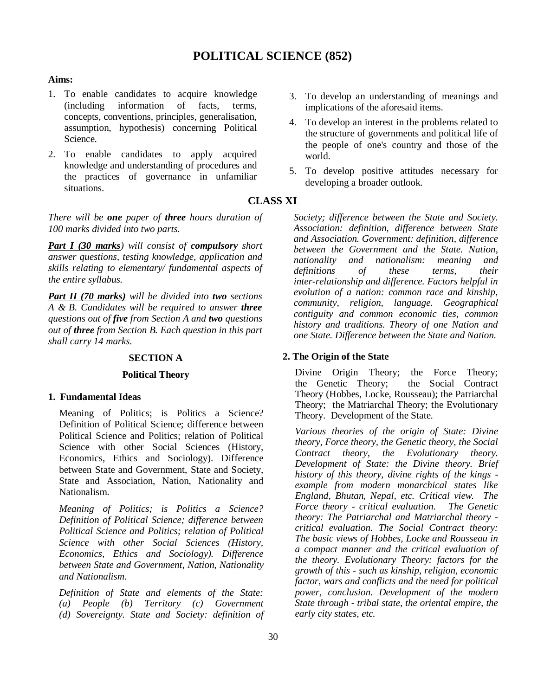# **POLITICAL SCIENCE (852)**

### **Aims:**

- 1. To enable candidates to acquire knowledge (including information of facts, terms, concepts, conventions, principles, generalisation, assumption, hypothesis) concerning Political Science.
- 2. To enable candidates to apply acquired knowledge and understanding of procedures and the practices of governance in unfamiliar situations.

*There will be one paper of three hours duration of 100 marks divided into two parts.*

*Part I (30 marks) will consist of compulsory short answer questions, testing knowledge, application and skills relating to elementary/ fundamental aspects of the entire syllabus.*

*Part II (70 marks) will be divided into two sections A & B. Candidates will be required to answer three questions out of five from Section A and two questions out of three from Section B. Each question in this part shall carry 14 marks.*

# **SECTION A**

# **Political Theory**

### **1. Fundamental Ideas**

Meaning of Politics; is Politics a Science? Definition of Political Science; difference between Political Science and Politics; relation of Political Science with other Social Sciences (History, Economics, Ethics and Sociology). Difference between State and Government, State and Society, State and Association, Nation, Nationality and Nationalism.

*Meaning of Politics; is Politics a Science? Definition of Political Science; difference between Political Science and Politics; relation of Political Science with other Social Sciences (History, Economics, Ethics and Sociology). Difference between State and Government, Nation, Nationality and Nationalism.*

*Definition of State and elements of the State: (a) People (b) Territory (c) Government (d) Sovereignty. State and Society: definition of* 

- 3. To develop an understanding of meanings and implications of the aforesaid items.
- 4. To develop an interest in the problems related to the structure of governments and political life of the people of one's country and those of the world.
- 5. To develop positive attitudes necessary for developing a broader outlook.

# **CLASS XI**

*Society; difference between the State and Society. Association: definition, difference between State and Association. Government: definition, difference between the Government and the State. Nation, nationality and nationalism: meaning and definitions of these terms, their inter-relationship and difference. Factors helpful in evolution of a nation: common race and kinship, community, religion, language. Geographical contiguity and common economic ties, common history and traditions. Theory of one Nation and one State. Difference between the State and Nation.*

### **2. The Origin of the State**

Divine Origin Theory; the Force Theory;<br>the Genetic Theory; the Social Contract the Genetic Theory; Theory (Hobbes, Locke, Rousseau); the Patriarchal Theory; the Matriarchal Theory; the Evolutionary Theory. Development of the State.

*Various theories of the origin of State: Divine theory, Force theory, the Genetic theory, the Social Contract theory, the Evolutionary theory. Development of State: the Divine theory. Brief history of this theory, divine rights of the kings example from modern monarchical states like England, Bhutan, Nepal, etc. Critical view. The Force theory - critical evaluation. theory: The Patriarchal and Matriarchal theory critical evaluation. The Social Contract theory: The basic views of Hobbes, Locke and Rousseau in a compact manner and the critical evaluation of the theory. Evolutionary Theory: factors for the growth of this - such as kinship, religion, economic factor, wars and conflicts and the need for political power, conclusion. Development of the modern State through - tribal state, the oriental empire, the early city states, etc.*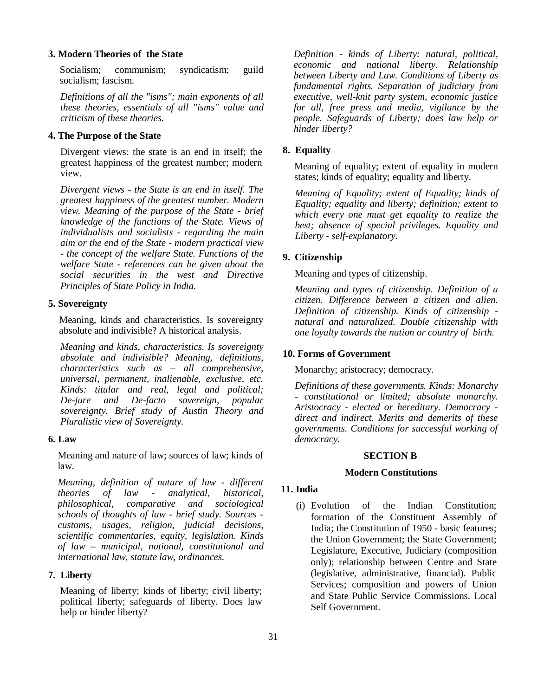### **3. Modern Theories of the State**

Socialism; communism; syndicatism; guild socialism; fascism.

*Definitions of all the "isms"; main exponents of all these theories, essentials of all "isms" value and criticism of these theories.*

### **4. The Purpose of the State**

Divergent views: the state is an end in itself; the greatest happiness of the greatest number; modern view.

*Divergent views - the State is an end in itself. The greatest happiness of the greatest number. Modern view. Meaning of the purpose of the State - brief knowledge of the functions of the State. Views of individualists and socialists - regarding the main aim or the end of the State - modern practical view - the concept of the welfare State. Functions of the welfare State - references can be given about the social securities in the west and Directive Principles of State Policy in India.*

### **5. Sovereignty**

Meaning, kinds and characteristics. Is sovereignty absolute and indivisible? A historical analysis.

*Meaning and kinds, characteristics. Is sovereignty absolute and indivisible? Meaning, definitions, characteristics such as – all comprehensive, universal, permanent, inalienable, exclusive, etc. Kinds: titular and real, legal and political; De-jure and De-facto sovereign, popular sovereignty. Brief study of Austin Theory and Pluralistic view of Sovereignty.*

### **6. Law**

Meaning and nature of law; sources of law; kinds of law.

*Meaning, definition of nature of law - different theories of law - analytical, historical, philosophical, comparative and sociological schools of thoughts of law - brief study. Sources customs, usages, religion, judicial decisions, scientific commentaries, equity, legislation. Kinds of law – municipal, national, constitutional and international law, statute law, ordinances.*

### **7. Liberty**

Meaning of liberty; kinds of liberty; civil liberty; political liberty; safeguards of liberty. Does law help or hinder liberty?

*Definition - kinds of Liberty: natural, political, economic and national liberty. Relationship between Liberty and Law. Conditions of Liberty as fundamental rights. Separation of judiciary from executive, well-knit party system, economic justice for all, free press and media, vigilance by the people. Safeguards of Liberty; does law help or hinder liberty?*

### **8. Equality**

Meaning of equality; extent of equality in modern states; kinds of equality; equality and liberty.

*Meaning of Equality; extent of Equality; kinds of Equality; equality and liberty; definition; extent to which every one must get equality to realize the best; absence of special privileges. Equality and Liberty - self-explanatory.*

#### **9. Citizenship**

Meaning and types of citizenship.

*Meaning and types of citizenship. Definition of a citizen. Difference between a citizen and alien. Definition of citizenship. Kinds of citizenship natural and naturalized. Double citizenship with one loyalty towards the nation or country of birth.*

### **10. Forms of Government**

Monarchy; aristocracy; democracy.

*Definitions of these governments. Kinds: Monarchy - constitutional or limited; absolute monarchy. Aristocracy - elected or hereditary. Democracy direct and indirect. Merits and demerits of these governments. Conditions for successful working of democracy.*

#### **SECTION B**

#### **Modern Constitutions**

### **11. India**

(i) Evolution of the Indian Constitution; formation of the Constituent Assembly of India; the Constitution of 1950 - basic features; the Union Government; the State Government; Legislature, Executive, Judiciary (composition only); relationship between Centre and State (legislative, administrative, financial). Public Services; composition and powers of Union and State Public Service Commissions. Local Self Government.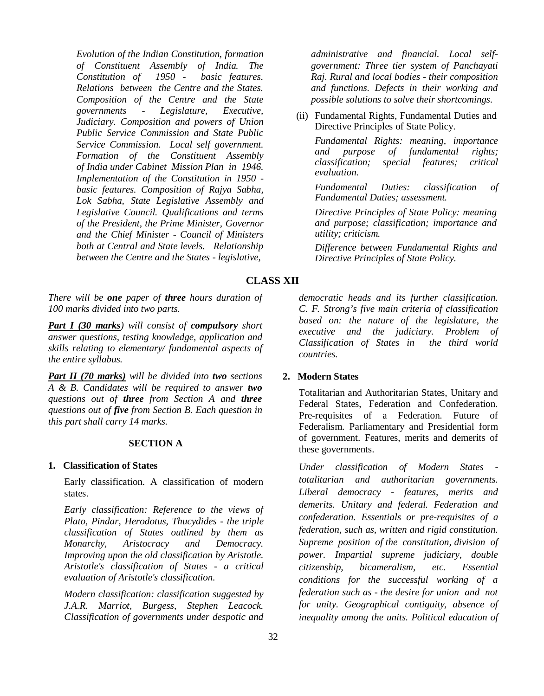*Evolution of the Indian Constitution, formation of Constituent Assembly of India. The Constitution of 1950 - basic features. Relations between the Centre and the States. Composition of the Centre and the State governments - Legislature, Executive, Judiciary. Composition and powers of Union Public Service Commission and State Public Service Commission. Local self government. Formation of the Constituent Assembly of India under Cabinet Mission Plan in 1946. Implementation of the Constitution in 1950 basic features. Composition of Rajya Sabha, Lok Sabha, State Legislative Assembly and Legislative Council. Qualifications and terms of the President, the Prime Minister, Governor and the Chief Minister - Council of Ministers both at Central and State levels. Relationship between the Centre and the States - legislative,* 

*administrative and financial. Local selfgovernment: Three tier system of Panchayati Raj. Rural and local bodies - their composition and functions. Defects in their working and possible solutions to solve their shortcomings.* 

(ii) Fundamental Rights, Fundamental Duties and Directive Principles of State Policy.

*Fundamental Rights: meaning, importance and purpose of fundamental rights; classification; special features; critical evaluation.*

*Fundamental Duties: classification of Fundamental Duties; assessment.*

*Directive Principles of State Policy: meaning and purpose; classification; importance and utility; criticism.*

*Difference between Fundamental Rights and Directive Principles of State Policy.*

# **CLASS XII**

*There will be one paper of three hours duration of 100 marks divided into two parts.*

*Part I (30 marks) will consist of compulsory short answer questions, testing knowledge, application and skills relating to elementary/ fundamental aspects of the entire syllabus.*

*Part II (70 marks) will be divided into two sections A & B. Candidates will be required to answer two questions out of three from Section A and three questions out of five from Section B. Each question in this part shall carry 14 marks.*

# **SECTION A**

### **1. Classification of States**

Early classification. A classification of modern states.

*Early classification: Reference to the views of Plato, Pindar, Herodotus, Thucydides - the triple classification of States outlined by them as Monarchy, Aristocracy and Democracy. Improving upon the old classification by Aristotle. Aristotle's classification of States - a critical evaluation of Aristotle's classification.* 

*Modern classification: classification suggested by J.A.R. Marriot, Burgess, Stephen Leacock. Classification of governments under despotic and*  *democratic heads and its further classification. C. F. Strong's five main criteria of classification based on: the nature of the legislature, the executive and the judiciary. Problem of Classification of States in the third world countries.*

# **2. Modern States**

Totalitarian and Authoritarian States, Unitary and Federal States, Federation and Confederation. Pre-requisites of a Federation. Future of Federalism. Parliamentary and Presidential form of government. Features, merits and demerits of these governments.

*Under classification of Modern States totalitarian and authoritarian governments. Liberal democracy - features, merits and demerits. Unitary and federal. Federation and confederation. Essentials or pre-requisites of a federation, such as, written and rigid constitution. Supreme position of the constitution, division of power. Impartial supreme judiciary, double citizenship, bicameralism, etc. Essential conditions for the successful working of a federation such as - the desire for union and not for unity. Geographical contiguity, absence of inequality among the units. Political education of*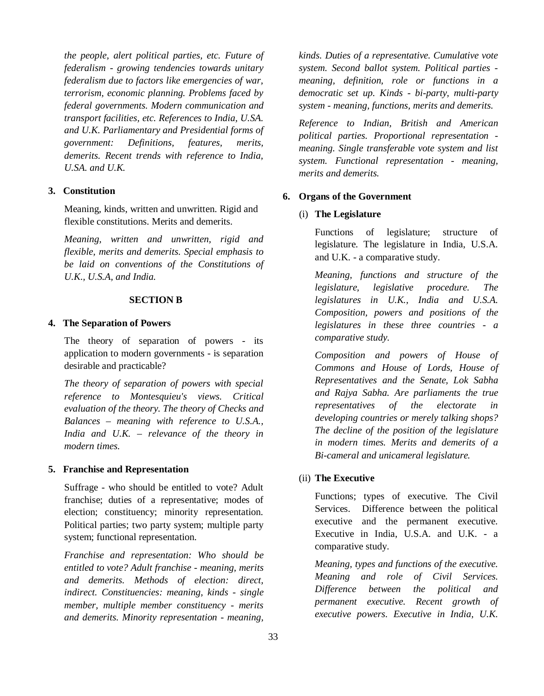*the people, alert political parties, etc. Future of federalism - growing tendencies towards unitary federalism due to factors like emergencies of war, terrorism, economic planning. Problems faced by federal governments. Modern communication and transport facilities, etc. References to India, U.SA. and U.K. Parliamentary and Presidential forms of government: Definitions, features, merits, demerits. Recent trends with reference to India, U.SA. and U.K.*

# **3. Constitution**

Meaning, kinds, written and unwritten. Rigid and flexible constitutions. Merits and demerits.

*Meaning, written and unwritten, rigid and flexible, merits and demerits. Special emphasis to be laid on conventions of the Constitutions of U.K., U.S.A, and India.*

### **SECTION B**

### **4. The Separation of Powers**

The theory of separation of powers - its application to modern governments - is separation desirable and practicable?

*The theory of separation of powers with special reference to Montesquieu's views. Critical evaluation of the theory. The theory of Checks and Balances – meaning with reference to U.S.A., India and U.K. – relevance of the theory in modern times.*

### **5. Franchise and Representation**

Suffrage - who should be entitled to vote? Adult franchise; duties of a representative; modes of election; constituency; minority representation. Political parties; two party system; multiple party system; functional representation.

*Franchise and representation: Who should be entitled to vote? Adult franchise - meaning, merits and demerits. Methods of election: direct, indirect. Constituencies: meaning, kinds - single member, multiple member constituency - merits and demerits. Minority representation - meaning,* 

*kinds. Duties of a representative. Cumulative vote system. Second ballot system. Political parties meaning, definition, role or functions in a democratic set up. Kinds - bi-party, multi-party system - meaning, functions, merits and demerits.* 

*Reference to Indian, British and American political parties. Proportional representation meaning. Single transferable vote system and list system. Functional representation - meaning, merits and demerits.* 

#### **6. Organs of the Government**

### (i) **The Legislature**

Functions of legislature; structure of legislature. The legislature in India, U.S.A. and U.K. - a comparative study.

*Meaning, functions and structure of the legislature, legislative procedure. The legislatures in U.K., India and U.S.A. Composition, powers and positions of the legislatures in these three countries - a comparative study.* 

*Composition and powers of House of Commons and House of Lords, House of Representatives and the Senate, Lok Sabha and Rajya Sabha. Are parliaments the true representatives of the electorate in developing countries or merely talking shops? The decline of the position of the legislature in modern times. Merits and demerits of a Bi-cameral and unicameral legislature.*

# (ii) **The Executive**

Functions; types of executive. The Civil Services. Difference between the political executive and the permanent executive. Executive in India, U.S.A. and U.K. - a comparative study.

*Meaning, types and functions of the executive. Meaning and role of Civil Services. Difference between the political and permanent executive. Recent growth of executive powers. Executive in India, U.K.*